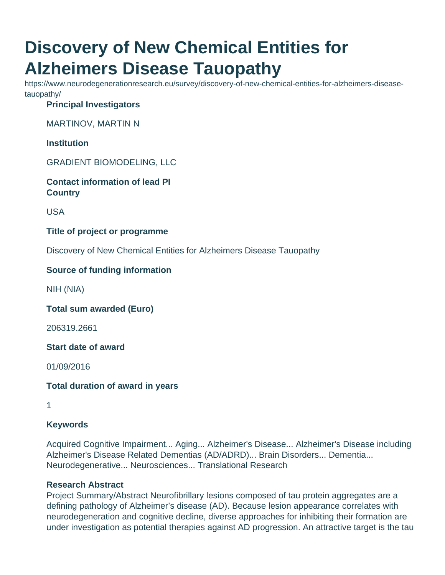# **Discovery of New Chemical Entities for Alzheimers Disease Tauopathy**

https://www.neurodegenerationresearch.eu/survey/discovery-of-new-chemical-entities-for-alzheimers-diseasetauopathy/

### **Principal Investigators**

MARTINOV, MARTIN N

**Institution**

GRADIENT BIOMODELING, LLC

**Contact information of lead PI Country**

USA

**Title of project or programme**

Discovery of New Chemical Entities for Alzheimers Disease Tauopathy

## **Source of funding information**

NIH (NIA)

**Total sum awarded (Euro)**

206319.2661

**Start date of award**

01/09/2016

**Total duration of award in years**

1

#### **Keywords**

Acquired Cognitive Impairment... Aging... Alzheimer's Disease... Alzheimer's Disease including Alzheimer's Disease Related Dementias (AD/ADRD)... Brain Disorders... Dementia... Neurodegenerative... Neurosciences... Translational Research

#### **Research Abstract**

Project Summary/Abstract Neurofibrillary lesions composed of tau protein aggregates are a defining pathology of Alzheimer's disease (AD). Because lesion appearance correlates with neurodegeneration and cognitive decline, diverse approaches for inhibiting their formation are under investigation as potential therapies against AD progression. An attractive target is the tau